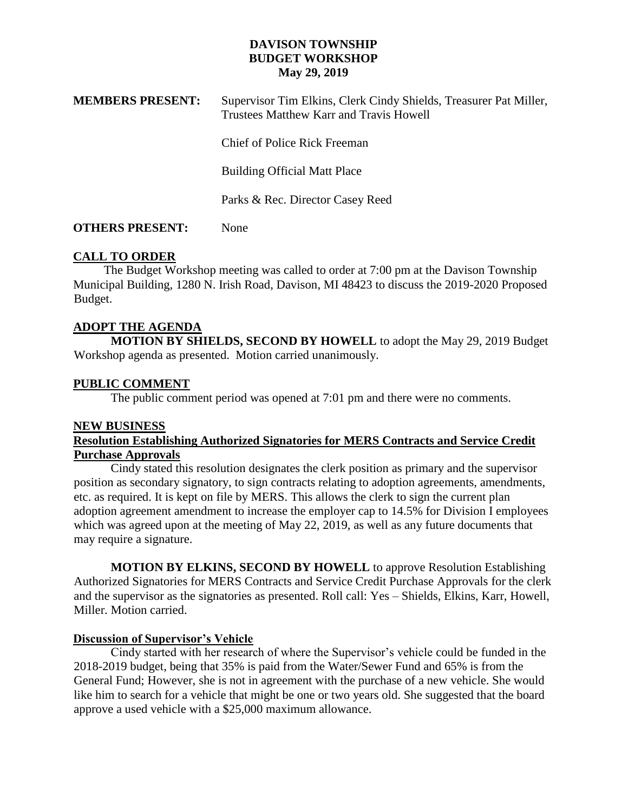## **DAVISON TOWNSHIP BUDGET WORKSHOP May 29, 2019**

| <b>MEMBERS PRESENT:</b> | Supervisor Tim Elkins, Clerk Cindy Shields, Treasurer Pat Miller,<br>Trustees Matthew Karr and Travis Howell |
|-------------------------|--------------------------------------------------------------------------------------------------------------|
|                         | Chief of Police Rick Freeman                                                                                 |
|                         | <b>Building Official Matt Place</b>                                                                          |
|                         | Parks & Rec. Director Casey Reed                                                                             |
|                         |                                                                                                              |

# **OTHERS PRESENT:** None

# **CALL TO ORDER**

 The Budget Workshop meeting was called to order at 7:00 pm at the Davison Township Municipal Building, 1280 N. Irish Road, Davison, MI 48423 to discuss the 2019-2020 Proposed Budget.

# **ADOPT THE AGENDA**

**MOTION BY SHIELDS, SECOND BY HOWELL** to adopt the May 29, 2019 Budget Workshop agenda as presented. Motion carried unanimously.

# **PUBLIC COMMENT**

The public comment period was opened at 7:01 pm and there were no comments.

### **NEW BUSINESS**

## **Resolution Establishing Authorized Signatories for MERS Contracts and Service Credit Purchase Approvals**

Cindy stated this resolution designates the clerk position as primary and the supervisor position as secondary signatory, to sign contracts relating to adoption agreements, amendments, etc. as required. It is kept on file by MERS. This allows the clerk to sign the current plan adoption agreement amendment to increase the employer cap to 14.5% for Division I employees which was agreed upon at the meeting of May 22, 2019, as well as any future documents that may require a signature.

**MOTION BY ELKINS, SECOND BY HOWELL** to approve Resolution Establishing Authorized Signatories for MERS Contracts and Service Credit Purchase Approvals for the clerk and the supervisor as the signatories as presented. Roll call: Yes – Shields, Elkins, Karr, Howell, Miller. Motion carried.

# **Discussion of Supervisor's Vehicle**

Cindy started with her research of where the Supervisor's vehicle could be funded in the 2018-2019 budget, being that 35% is paid from the Water/Sewer Fund and 65% is from the General Fund; However, she is not in agreement with the purchase of a new vehicle. She would like him to search for a vehicle that might be one or two years old. She suggested that the board approve a used vehicle with a \$25,000 maximum allowance.